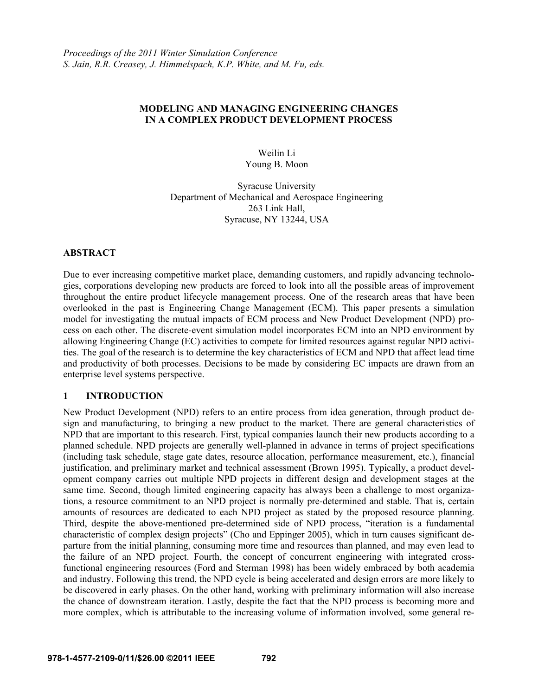### **MODELING AND MANAGING ENGINEERING CHANGES IN A COMPLEX PRODUCT DEVELOPMENT PROCESS**

Weilin Li Young B. Moon

Syracuse University Department of Mechanical and Aerospace Engineering 263 Link Hall, Syracuse, NY 13244, USA

#### **ABSTRACT**

Due to ever increasing competitive market place, demanding customers, and rapidly advancing technologies, corporations developing new products are forced to look into all the possible areas of improvement throughout the entire product lifecycle management process. One of the research areas that have been overlooked in the past is Engineering Change Management (ECM). This paper presents a simulation model for investigating the mutual impacts of ECM process and New Product Development (NPD) process on each other. The discrete-event simulation model incorporates ECM into an NPD environment by allowing Engineering Change (EC) activities to compete for limited resources against regular NPD activities. The goal of the research is to determine the key characteristics of ECM and NPD that affect lead time and productivity of both processes. Decisions to be made by considering EC impacts are drawn from an enterprise level systems perspective.

#### **1 INTRODUCTION**

New Product Development (NPD) refers to an entire process from idea generation, through product design and manufacturing, to bringing a new product to the market. There are general characteristics of NPD that are important to this research. First, typical companies launch their new products according to a planned schedule. NPD projects are generally well-planned in advance in terms of project specifications (including task schedule, stage gate dates, resource allocation, performance measurement, etc.), financial justification, and preliminary market and technical assessment (Brown 1995). Typically, a product development company carries out multiple NPD projects in different design and development stages at the same time. Second, though limited engineering capacity has always been a challenge to most organizations, a resource commitment to an NPD project is normally pre-determined and stable. That is, certain amounts of resources are dedicated to each NPD project as stated by the proposed resource planning. Third, despite the above-mentioned pre-determined side of NPD process, "iteration is a fundamental characteristic of complex design projects" (Cho and Eppinger 2005), which in turn causes significant departure from the initial planning, consuming more time and resources than planned, and may even lead to the failure of an NPD project. Fourth, the concept of concurrent engineering with integrated crossfunctional engineering resources (Ford and Sterman 1998) has been widely embraced by both academia and industry. Following this trend, the NPD cycle is being accelerated and design errors are more likely to be discovered in early phases. On the other hand, working with preliminary information will also increase the chance of downstream iteration. Lastly, despite the fact that the NPD process is becoming more and more complex, which is attributable to the increasing volume of information involved, some general re-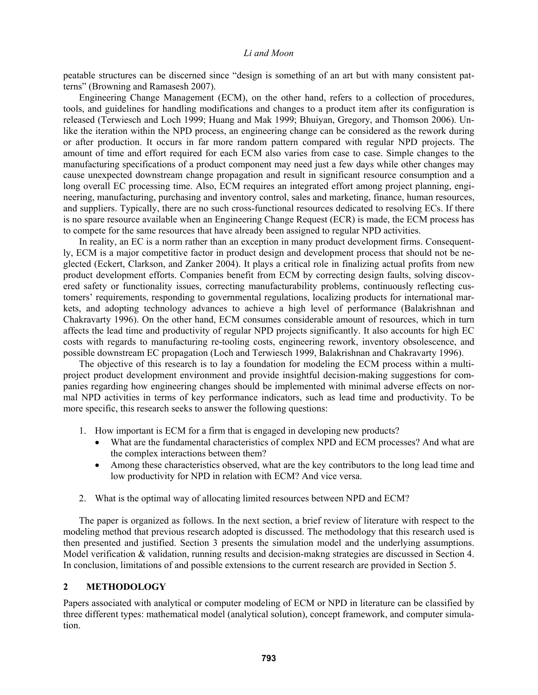peatable structures can be discerned since "design is something of an art but with many consistent patterns" (Browning and Ramasesh 2007).

Engineering Change Management (ECM), on the other hand, refers to a collection of procedures, tools, and guidelines for handling modifications and changes to a product item after its configuration is released (Terwiesch and Loch 1999; Huang and Mak 1999; Bhuiyan, Gregory, and Thomson 2006). Unlike the iteration within the NPD process, an engineering change can be considered as the rework during or after production. It occurs in far more random pattern compared with regular NPD projects. The amount of time and effort required for each ECM also varies from case to case. Simple changes to the manufacturing specifications of a product component may need just a few days while other changes may cause unexpected downstream change propagation and result in significant resource consumption and a long overall EC processing time. Also, ECM requires an integrated effort among project planning, engineering, manufacturing, purchasing and inventory control, sales and marketing, finance, human resources, and suppliers. Typically, there are no such cross-functional resources dedicated to resolving ECs. If there is no spare resource available when an Engineering Change Request (ECR) is made, the ECM process has to compete for the same resources that have already been assigned to regular NPD activities.

In reality, an EC is a norm rather than an exception in many product development firms. Consequently, ECM is a major competitive factor in product design and development process that should not be neglected (Eckert, Clarkson, and Zanker 2004). It plays a critical role in finalizing actual profits from new product development efforts. Companies benefit from ECM by correcting design faults, solving discovered safety or functionality issues, correcting manufacturability problems, continuously reflecting customers' requirements, responding to governmental regulations, localizing products for international markets, and adopting technology advances to achieve a high level of performance (Balakrishnan and Chakravarty 1996). On the other hand, ECM consumes considerable amount of resources, which in turn affects the lead time and productivity of regular NPD projects significantly. It also accounts for high EC costs with regards to manufacturing re-tooling costs, engineering rework, inventory obsolescence, and possible downstream EC propagation (Loch and Terwiesch 1999, Balakrishnan and Chakravarty 1996).

The objective of this research is to lay a foundation for modeling the ECM process within a multiproject product development environment and provide insightful decision-making suggestions for companies regarding how engineering changes should be implemented with minimal adverse effects on normal NPD activities in terms of key performance indicators, such as lead time and productivity. To be more specific, this research seeks to answer the following questions:

- 1. How important is ECM for a firm that is engaged in developing new products?
	- What are the fundamental characteristics of complex NPD and ECM processes? And what are the complex interactions between them?
	- Among these characteristics observed, what are the key contributors to the long lead time and low productivity for NPD in relation with ECM? And vice versa.
- 2. What is the optimal way of allocating limited resources between NPD and ECM?

The paper is organized as follows. In the next section, a brief review of literature with respect to the modeling method that previous research adopted is discussed. The methodology that this research used is then presented and justified. Section 3 presents the simulation model and the underlying assumptions. Model verification & validation, running results and decision-makng strategies are discussed in Section 4. In conclusion, limitations of and possible extensions to the current research are provided in Section 5.

#### **2 METHODOLOGY**

Papers associated with analytical or computer modeling of ECM or NPD in literature can be classified by three different types: mathematical model (analytical solution), concept framework, and computer simulation.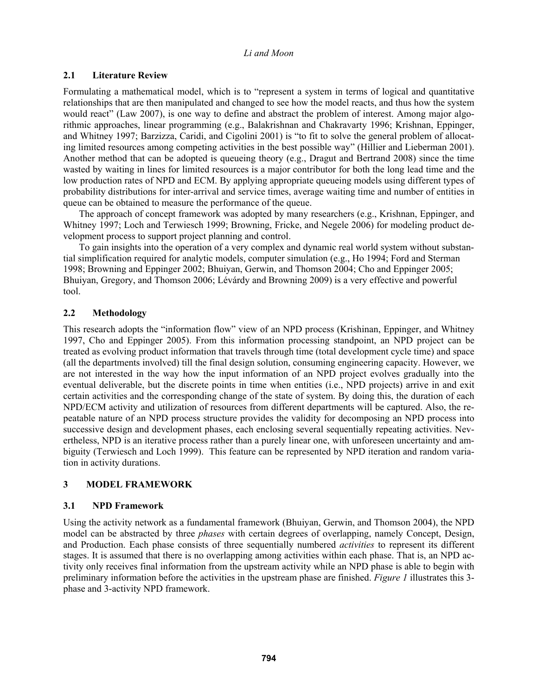# **2.1 Literature Review**

Formulating a mathematical model, which is to "represent a system in terms of logical and quantitative relationships that are then manipulated and changed to see how the model reacts, and thus how the system would react" (Law 2007), is one way to define and abstract the problem of interest. Among major algorithmic approaches, linear programming (e.g., Balakrishnan and Chakravarty 1996; Krishnan, Eppinger, and Whitney 1997; Barzizza, Caridi, and Cigolini 2001) is "to fit to solve the general problem of allocating limited resources among competing activities in the best possible way" (Hillier and Lieberman 2001). Another method that can be adopted is queueing theory (e.g., Dragut and Bertrand 2008) since the time wasted by waiting in lines for limited resources is a major contributor for both the long lead time and the low production rates of NPD and ECM. By applying appropriate queueing models using different types of probability distributions for inter-arrival and service times, average waiting time and number of entities in queue can be obtained to measure the performance of the queue.

The approach of concept framework was adopted by many researchers (e.g., Krishnan, Eppinger, and Whitney 1997; Loch and Terwiesch 1999; Browning, Fricke, and Negele 2006) for modeling product development process to support project planning and control.

 To gain insights into the operation of a very complex and dynamic real world system without substantial simplification required for analytic models, computer simulation (e.g., Ho 1994; Ford and Sterman 1998; Browning and Eppinger 2002; Bhuiyan, Gerwin, and Thomson 2004; Cho and Eppinger 2005; Bhuiyan, Gregory, and Thomson 2006; Lévárdy and Browning 2009) is a very effective and powerful tool.

## **2.2 Methodology**

This research adopts the "information flow" view of an NPD process (Krishinan, Eppinger, and Whitney 1997, Cho and Eppinger 2005). From this information processing standpoint, an NPD project can be treated as evolving product information that travels through time (total development cycle time) and space (all the departments involved) till the final design solution, consuming engineering capacity. However, we are not interested in the way how the input information of an NPD project evolves gradually into the eventual deliverable, but the discrete points in time when entities (i.e., NPD projects) arrive in and exit certain activities and the corresponding change of the state of system. By doing this, the duration of each NPD/ECM activity and utilization of resources from different departments will be captured. Also, the repeatable nature of an NPD process structure provides the validity for decomposing an NPD process into successive design and development phases, each enclosing several sequentially repeating activities. Nevertheless, NPD is an iterative process rather than a purely linear one, with unforeseen uncertainty and ambiguity (Terwiesch and Loch 1999). This feature can be represented by NPD iteration and random variation in activity durations.

# **3 MODEL FRAMEWORK**

## **3.1 NPD Framework**

Using the activity network as a fundamental framework (Bhuiyan, Gerwin, and Thomson 2004), the NPD model can be abstracted by three *phases* with certain degrees of overlapping, namely Concept, Design, and Production. Each phase consists of three sequentially numbered *activities* to represent its different stages. It is assumed that there is no overlapping among activities within each phase. That is, an NPD activity only receives final information from the upstream activity while an NPD phase is able to begin with preliminary information before the activities in the upstream phase are finished. *Figure 1* illustrates this 3 phase and 3-activity NPD framework.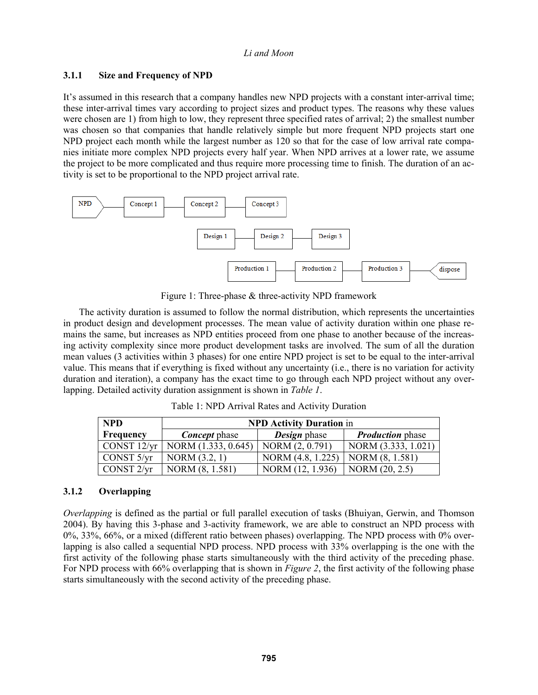## **3.1.1 Size and Frequency of NPD**

It's assumed in this research that a company handles new NPD projects with a constant inter-arrival time; these inter-arrival times vary according to project sizes and product types. The reasons why these values were chosen are 1) from high to low, they represent three specified rates of arrival; 2) the smallest number was chosen so that companies that handle relatively simple but more frequent NPD projects start one NPD project each month while the largest number as 120 so that for the case of low arrival rate companies initiate more complex NPD projects every half year. When NPD arrives at a lower rate, we assume the project to be more complicated and thus require more processing time to finish. The duration of an activity is set to be proportional to the NPD project arrival rate.



Figure 1: Three-phase & three-activity NPD framework

The activity duration is assumed to follow the normal distribution, which represents the uncertainties in product design and development processes. The mean value of activity duration within one phase remains the same, but increases as NPD entities proceed from one phase to another because of the increasing activity complexity since more product development tasks are involved. The sum of all the duration mean values (3 activities within 3 phases) for one entire NPD project is set to be equal to the inter-arrival value. This means that if everything is fixed without any uncertainty (i.e., there is no variation for activity duration and iteration), a company has the exact time to go through each NPD project without any overlapping. Detailed activity duration assignment is shown in *Table 1*.

Table 1: NPD Arrival Rates and Activity Duration

| <b>NPD</b>                               | <b>NPD Activity Duration in</b> |                     |                                |  |
|------------------------------------------|---------------------------------|---------------------|--------------------------------|--|
| <b>Frequency</b><br><b>Concept</b> phase |                                 | <b>Design</b> phase | <b><i>Production</i></b> phase |  |
| CONST 12/yr                              | NORM (1.333, 0.645)             | NORM (2, 0.791)     | NORM (3.333, 1.021)            |  |
| CONST 5/yr                               | NORM (3.2, 1)                   | NORM (4.8, 1.225)   | NORM (8, 1.581)                |  |
| CONST <sub>2/vr</sub>                    | NORM (8, 1.581)                 | 1.936)<br>NORM (12  | NORM $(20, 2.5)$               |  |

#### **3.1.2 Overlapping**

*Overlapping* is defined as the partial or full parallel execution of tasks (Bhuiyan, Gerwin, and Thomson 2004). By having this 3-phase and 3-activity framework, we are able to construct an NPD process with 0%, 33%, 66%, or a mixed (different ratio between phases) overlapping. The NPD process with 0% overlapping is also called a sequential NPD process. NPD process with 33% overlapping is the one with the first activity of the following phase starts simultaneously with the third activity of the preceding phase. For NPD process with 66% overlapping that is shown in *Figure 2*, the first activity of the following phase starts simultaneously with the second activity of the preceding phase.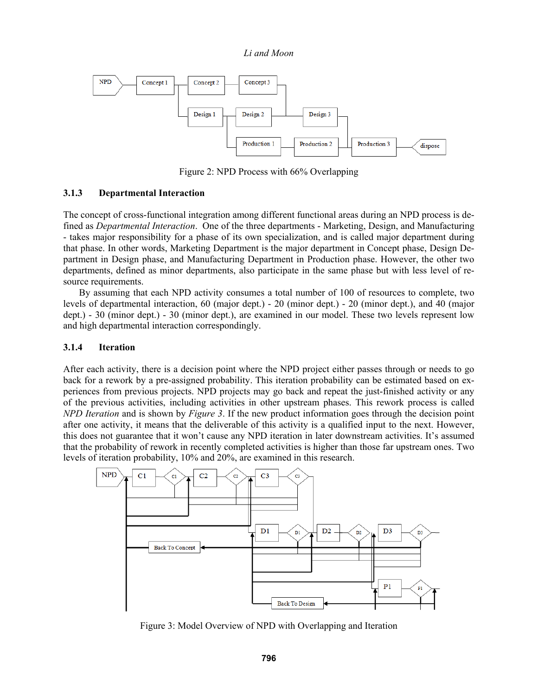

Figure 2: NPD Process with 66% Overlapping

### **3.1.3 Departmental Interaction**

The concept of cross-functional integration among different functional areas during an NPD process is defined as *Departmental Interaction*. One of the three departments - Marketing, Design, and Manufacturing - takes major responsibility for a phase of its own specialization, and is called major department during that phase. In other words, Marketing Department is the major department in Concept phase, Design Department in Design phase, and Manufacturing Department in Production phase. However, the other two departments, defined as minor departments, also participate in the same phase but with less level of resource requirements.

By assuming that each NPD activity consumes a total number of 100 of resources to complete, two levels of departmental interaction, 60 (major dept.) - 20 (minor dept.) - 20 (minor dept.), and 40 (major dept.) - 30 (minor dept.) - 30 (minor dept.), are examined in our model. These two levels represent low and high departmental interaction correspondingly.

#### **3.1.4 Iteration**

After each activity, there is a decision point where the NPD project either passes through or needs to go back for a rework by a pre-assigned probability. This iteration probability can be estimated based on experiences from previous projects. NPD projects may go back and repeat the just-finished activity or any of the previous activities, including activities in other upstream phases. This rework process is called *NPD Iteration* and is shown by *Figure 3*. If the new product information goes through the decision point after one activity, it means that the deliverable of this activity is a qualified input to the next. However, this does not guarantee that it won't cause any NPD iteration in later downstream activities. It's assumed that the probability of rework in recently completed activities is higher than those far upstream ones. Two levels of iteration probability, 10% and 20%, are examined in this research.



Figure 3: Model Overview of NPD with Overlapping and Iteration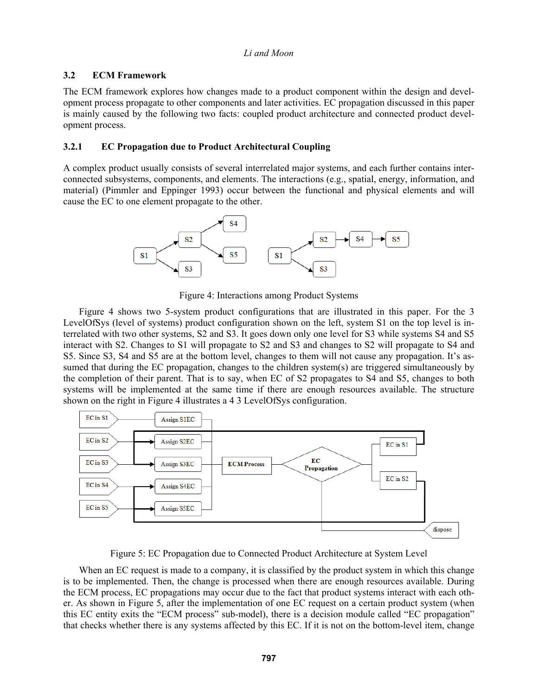## **3.2 ECM Framework**

The ECM framework explores how changes made to a product component within the design and development process propagate to other components and later activities. EC propagation discussed in this paper is mainly caused by the following two facts: coupled product architecture and connected product development process.

### **3.2.1 EC Propagation due to Product Architectural Coupling**

A complex product usually consists of several interrelated major systems, and each further contains interconnected subsystems, components, and elements. The interactions (e.g., spatial, energy, information, and material) (Pimmler and Eppinger 1993) occur between the functional and physical elements and will cause the EC to one element propagate to the other.



Figure 4: Interactions among Product Systems

 Figure 4 shows two 5-system product configurations that are illustrated in this paper. For the 3 LevelOfSys (level of systems) product configuration shown on the left, system S1 on the top level is interrelated with two other systems, S2 and S3. It goes down only one level for S3 while systems S4 and S5 interact with S2. Changes to S1 will propagate to S2 and S3 and changes to S2 will propagate to S4 and S5. Since S3, S4 and S5 are at the bottom level, changes to them will not cause any propagation. It's assumed that during the EC propagation, changes to the children system(s) are triggered simultaneously by the completion of their parent. That is to say, when EC of S2 propagates to S4 and S5, changes to both systems will be implemented at the same time if there are enough resources available. The structure shown on the right in Figure 4 illustrates a 4 3 LevelOfSys configuration.



Figure 5: EC Propagation due to Connected Product Architecture at System Level

When an EC request is made to a company, it is classified by the product system in which this change is to be implemented. Then, the change is processed when there are enough resources available. During the ECM process, EC propagations may occur due to the fact that product systems interact with each other. As shown in Figure 5, after the implementation of one EC request on a certain product system (when this EC entity exits the "ECM process" sub-model), there is a decision module called "EC propagation" that checks whether there is any systems affected by this EC. If it is not on the bottom-level item, change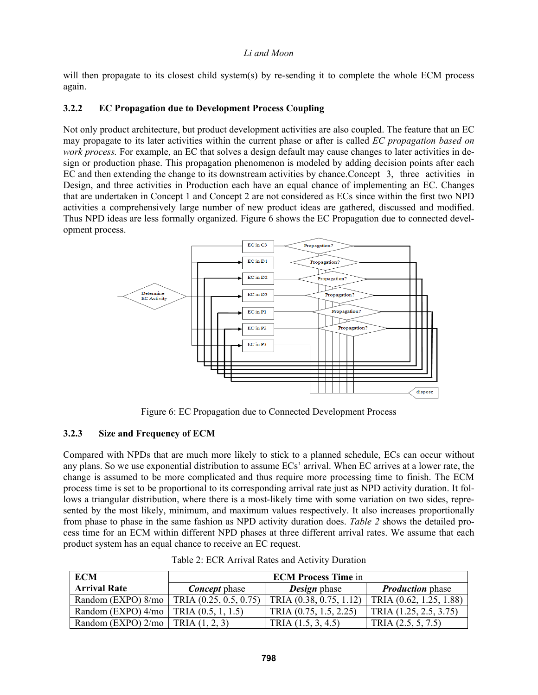will then propagate to its closest child system(s) by re-sending it to complete the whole ECM process again.

### **3.2.2 EC Propagation due to Development Process Coupling**

Not only product architecture, but product development activities are also coupled. The feature that an EC may propagate to its later activities within the current phase or after is called *EC propagation based on work process.* For example, an EC that solves a design default may cause changes to later activities in design or production phase. This propagation phenomenon is modeled by adding decision points after each EC and then extending the change to its downstream activities by chance. Concept 3, three activities in Design, and three activities in Production each have an equal chance of implementing an EC. Changes that are undertaken in Concept 1 and Concept 2 are not considered as ECs since within the first two NPD activities a comprehensively large number of new product ideas are gathered, discussed and modified. Thus NPD ideas are less formally organized. Figure 6 shows the EC Propagation due to connected development process.



Figure 6: EC Propagation due to Connected Development Process

#### **3.2.3 Size and Frequency of ECM**

Compared with NPDs that are much more likely to stick to a planned schedule, ECs can occur without any plans. So we use exponential distribution to assume ECs' arrival. When EC arrives at a lower rate, the change is assumed to be more complicated and thus require more processing time to finish. The ECM process time is set to be proportional to its corresponding arrival rate just as NPD activity duration. It follows a triangular distribution, where there is a most-likely time with some variation on two sides, represented by the most likely, minimum, and maximum values respectively. It also increases proportionally from phase to phase in the same fashion as NPD activity duration does. *Table 2* shows the detailed process time for an ECM within different NPD phases at three different arrival rates. We assume that each product system has an equal chance to receive an EC request.

| <b>ECM</b>                                  | <b>ECM Process Time in</b> |                         |                         |  |
|---------------------------------------------|----------------------------|-------------------------|-------------------------|--|
| <b>Arrival Rate</b>                         | <b>Concept</b> phase       | <b>Design</b> phase     | <b>Production</b> phase |  |
| Random (EXPO) 8/mo   TRIA (0.25, 0.5, 0.75) |                            | TRIA (0.38, 0.75, 1.12) | TRIA (0.62, 1.25, 1.88) |  |
| Random (EXPO) $4/mo$   TRIA (0.5, 1, 1.5)   |                            | TRIA (0.75, 1.5, 2.25)  | TRIA (1.25, 2.5, 3.75)  |  |
| Random (EXPO) $2/mo$   TRIA $(1, 2, 3)$     |                            | TRIA $(1.5, 3, 4.5)$    | TRIA $(2.5, 5, 7.5)$    |  |

Table 2: ECR Arrival Rates and Activity Duration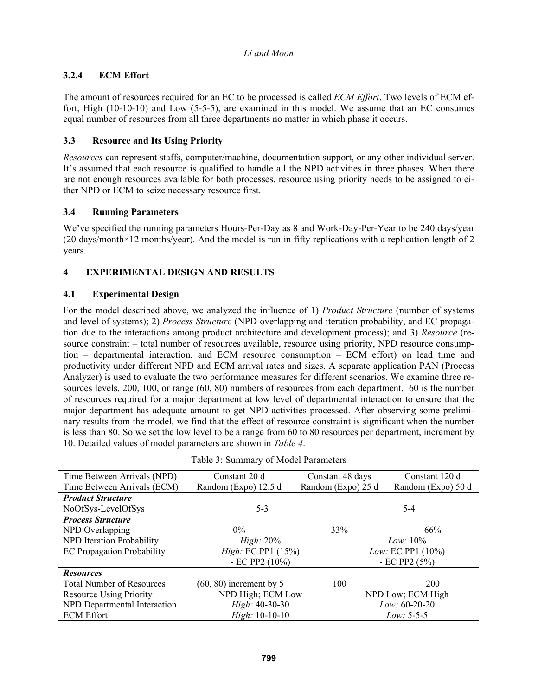# **3.2.4 ECM Effort**

The amount of resources required for an EC to be processed is called *ECM Effort*. Two levels of ECM effort, High (10-10-10) and Low (5-5-5), are examined in this model. We assume that an EC consumes equal number of resources from all three departments no matter in which phase it occurs.

### **3.3 Resource and Its Using Priority**

*Resources* can represent staffs, computer/machine, documentation support, or any other individual server. It's assumed that each resource is qualified to handle all the NPD activities in three phases. When there are not enough resources available for both processes, resource using priority needs to be assigned to either NPD or ECM to seize necessary resource first.

### **3.4 Running Parameters**

We've specified the running parameters Hours-Per-Day as 8 and Work-Day-Per-Year to be 240 days/year  $(20 \text{ days/month} \times 12 \text{ months/year})$ . And the model is run in fifty replications with a replication length of 2 years.

# **4 EXPERIMENTAL DESIGN AND RESULTS**

### **4.1 Experimental Design**

For the model described above, we analyzed the influence of 1) *Product Structure* (number of systems and level of systems); 2) *Process Structure* (NPD overlapping and iteration probability, and EC propagation due to the interactions among product architecture and development process); and 3) *Resource* (resource constraint – total number of resources available, resource using priority, NPD resource consumption – departmental interaction, and ECM resource consumption – ECM effort) on lead time and productivity under different NPD and ECM arrival rates and sizes. A separate application PAN (Process Analyzer) is used to evaluate the two performance measures for different scenarios. We examine three resources levels, 200, 100, or range (60, 80) numbers of resources from each department. 60 is the number of resources required for a major department at low level of departmental interaction to ensure that the major department has adequate amount to get NPD activities processed. After observing some preliminary results from the model, we find that the effect of resource constraint is significant when the number is less than 80. So we set the low level to be a range from 60 to 80 resources per department, increment by 10. Detailed values of model parameters are shown in *Table 4*.

| Time Between Arrivals (NPD)       | Constant 20 d                | Constant 48 days   | Constant 120 d              |  |  |
|-----------------------------------|------------------------------|--------------------|-----------------------------|--|--|
| Time Between Arrivals (ECM)       | Random (Expo) 12.5 d         | Random (Expo) 25 d | Random (Expo) 50 d          |  |  |
| <b>Product Structure</b>          |                              |                    |                             |  |  |
| NoOfSys-LevelOfSys                | $5 - 3$                      |                    | $5 - 4$                     |  |  |
| <b>Process Structure</b>          |                              |                    |                             |  |  |
| NPD Overlapping                   | $0\%$                        | 33%                | 66%                         |  |  |
| NPD Iteration Probability         | <i>High</i> : $20\%$         |                    | $Low: 10\%$                 |  |  |
| <b>EC</b> Propagation Probability | <i>High</i> : EC PP1 $(15%)$ |                    | <i>Low:</i> EC PP1 $(10\%)$ |  |  |
|                                   | - EC PP2 $(10\%)$            |                    | - EC PP2 $(5%)$             |  |  |
| <b>Resources</b>                  |                              |                    |                             |  |  |
| <b>Total Number of Resources</b>  | $(60, 80)$ increment by 5    | 100                | 200                         |  |  |
| <b>Resource Using Priority</b>    | NPD High; ECM Low            |                    | NPD Low; ECM High           |  |  |
| NPD Departmental Interaction      | High: 40-30-30               | Low: $60-20-20$    |                             |  |  |
| <b>ECM Effort</b>                 | $High: 10-10-10$             |                    | $Low: 5-5-5$                |  |  |

|  |  | Table 3: Summary of Model Parameters |
|--|--|--------------------------------------|
|  |  |                                      |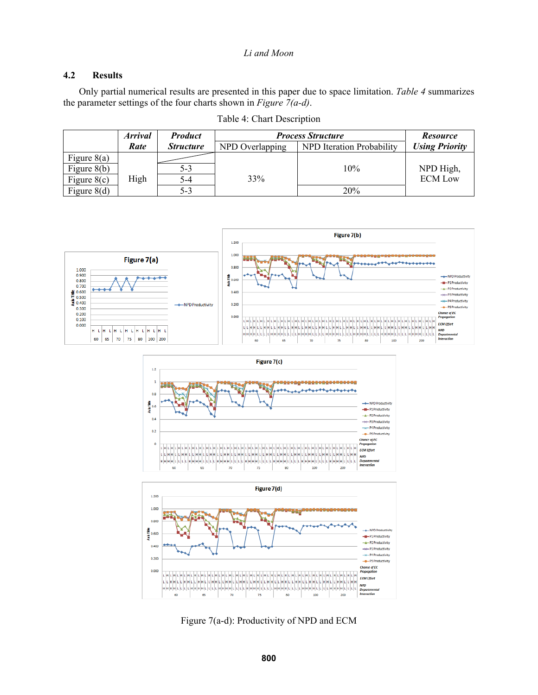### **4.2 Results**

Only partial numerical results are presented in this paper due to space limitation. *Table 4* summarizes the parameter settings of the four charts shown in *Figure 7(a-d)*.

|               | <b>Arrival</b> | <b>Product</b>   | <b>Process Structure</b> |                           | <b>Resource</b>       |
|---------------|----------------|------------------|--------------------------|---------------------------|-----------------------|
|               | Rate           | <i>Structure</i> | NPD Overlapping          | NPD Iteration Probability | <b>Using Priority</b> |
| Figure $8(a)$ |                |                  |                          |                           |                       |
| Figure $8(b)$ |                | 5-3              |                          | 10%                       | NPD High,             |
| Figure $8(c)$ | High           | 5-4              | 33%                      |                           | <b>ECM Low</b>        |
| Figure $8(d)$ |                | 5-3              |                          | 20%                       |                       |

Table 4: Chart Description







Figure 7(a-d): Productivity of NPD and ECM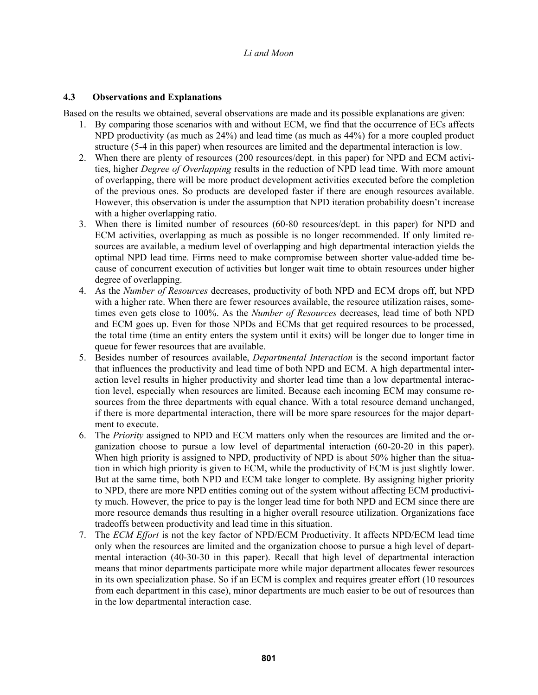## **4.3 Observations and Explanations**

Based on the results we obtained, several observations are made and its possible explanations are given:

- 1. By comparing those scenarios with and without ECM, we find that the occurrence of ECs affects NPD productivity (as much as 24%) and lead time (as much as 44%) for a more coupled product structure (5-4 in this paper) when resources are limited and the departmental interaction is low.
- 2. When there are plenty of resources (200 resources/dept. in this paper) for NPD and ECM activities, higher *Degree of Overlapping* results in the reduction of NPD lead time. With more amount of overlapping, there will be more product development activities executed before the completion of the previous ones. So products are developed faster if there are enough resources available. However, this observation is under the assumption that NPD iteration probability doesn't increase with a higher overlapping ratio.
- 3. When there is limited number of resources (60-80 resources/dept. in this paper) for NPD and ECM activities, overlapping as much as possible is no longer recommended. If only limited resources are available, a medium level of overlapping and high departmental interaction yields the optimal NPD lead time. Firms need to make compromise between shorter value-added time because of concurrent execution of activities but longer wait time to obtain resources under higher degree of overlapping.
- 4. As the *Number of Resources* decreases, productivity of both NPD and ECM drops off, but NPD with a higher rate. When there are fewer resources available, the resource utilization raises, sometimes even gets close to 100%. As the *Number of Resources* decreases, lead time of both NPD and ECM goes up. Even for those NPDs and ECMs that get required resources to be processed, the total time (time an entity enters the system until it exits) will be longer due to longer time in queue for fewer resources that are available.
- 5. Besides number of resources available, *Departmental Interaction* is the second important factor that influences the productivity and lead time of both NPD and ECM. A high departmental interaction level results in higher productivity and shorter lead time than a low departmental interaction level, especially when resources are limited. Because each incoming ECM may consume resources from the three departments with equal chance. With a total resource demand unchanged, if there is more departmental interaction, there will be more spare resources for the major department to execute.
- 6. The *Priority* assigned to NPD and ECM matters only when the resources are limited and the organization choose to pursue a low level of departmental interaction (60-20-20 in this paper). When high priority is assigned to NPD, productivity of NPD is about 50% higher than the situation in which high priority is given to ECM, while the productivity of ECM is just slightly lower. But at the same time, both NPD and ECM take longer to complete. By assigning higher priority to NPD, there are more NPD entities coming out of the system without affecting ECM productivity much. However, the price to pay is the longer lead time for both NPD and ECM since there are more resource demands thus resulting in a higher overall resource utilization. Organizations face tradeoffs between productivity and lead time in this situation.
- 7. The *ECM Effort* is not the key factor of NPD/ECM Productivity. It affects NPD/ECM lead time only when the resources are limited and the organization choose to pursue a high level of departmental interaction (40-30-30 in this paper). Recall that high level of departmental interaction means that minor departments participate more while major department allocates fewer resources in its own specialization phase. So if an ECM is complex and requires greater effort (10 resources from each department in this case), minor departments are much easier to be out of resources than in the low departmental interaction case.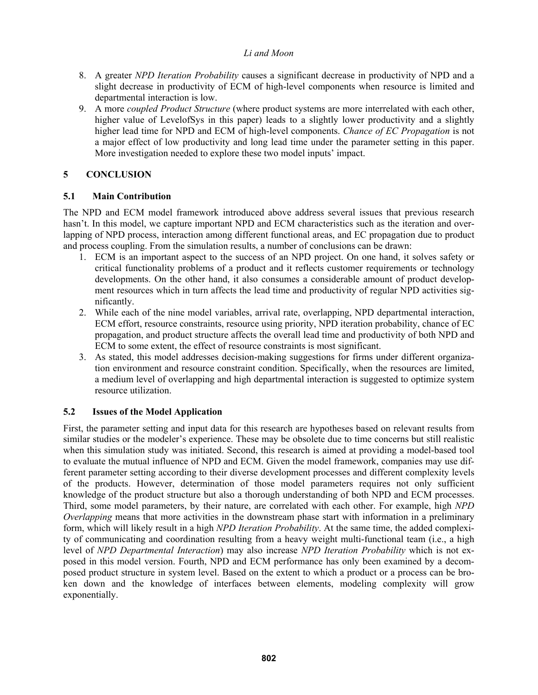- 8. A greater *NPD Iteration Probability* causes a significant decrease in productivity of NPD and a slight decrease in productivity of ECM of high-level components when resource is limited and departmental interaction is low.
- 9. A more *coupled Product Structure* (where product systems are more interrelated with each other, higher value of LevelofSys in this paper) leads to a slightly lower productivity and a slightly higher lead time for NPD and ECM of high-level components. *Chance of EC Propagation* is not a major effect of low productivity and long lead time under the parameter setting in this paper. More investigation needed to explore these two model inputs' impact.

# **5 CONCLUSION**

## **5.1 Main Contribution**

The NPD and ECM model framework introduced above address several issues that previous research hasn't. In this model, we capture important NPD and ECM characteristics such as the iteration and overlapping of NPD process, interaction among different functional areas, and EC propagation due to product and process coupling. From the simulation results, a number of conclusions can be drawn:

- 1. ECM is an important aspect to the success of an NPD project. On one hand, it solves safety or critical functionality problems of a product and it reflects customer requirements or technology developments. On the other hand, it also consumes a considerable amount of product development resources which in turn affects the lead time and productivity of regular NPD activities significantly.
- 2. While each of the nine model variables, arrival rate, overlapping, NPD departmental interaction, ECM effort, resource constraints, resource using priority, NPD iteration probability, chance of EC propagation, and product structure affects the overall lead time and productivity of both NPD and ECM to some extent, the effect of resource constraints is most significant.
- 3. As stated, this model addresses decision-making suggestions for firms under different organization environment and resource constraint condition. Specifically, when the resources are limited, a medium level of overlapping and high departmental interaction is suggested to optimize system resource utilization.

## **5.2 Issues of the Model Application**

First, the parameter setting and input data for this research are hypotheses based on relevant results from similar studies or the modeler's experience. These may be obsolete due to time concerns but still realistic when this simulation study was initiated. Second, this research is aimed at providing a model-based tool to evaluate the mutual influence of NPD and ECM. Given the model framework, companies may use different parameter setting according to their diverse development processes and different complexity levels of the products. However, determination of those model parameters requires not only sufficient knowledge of the product structure but also a thorough understanding of both NPD and ECM processes. Third, some model parameters, by their nature, are correlated with each other. For example, high *NPD Overlapping* means that more activities in the downstream phase start with information in a preliminary form, which will likely result in a high *NPD Iteration Probability*. At the same time, the added complexity of communicating and coordination resulting from a heavy weight multi-functional team (i.e., a high level of *NPD Departmental Interaction*) may also increase *NPD Iteration Probability* which is not exposed in this model version. Fourth, NPD and ECM performance has only been examined by a decomposed product structure in system level. Based on the extent to which a product or a process can be broken down and the knowledge of interfaces between elements, modeling complexity will grow exponentially.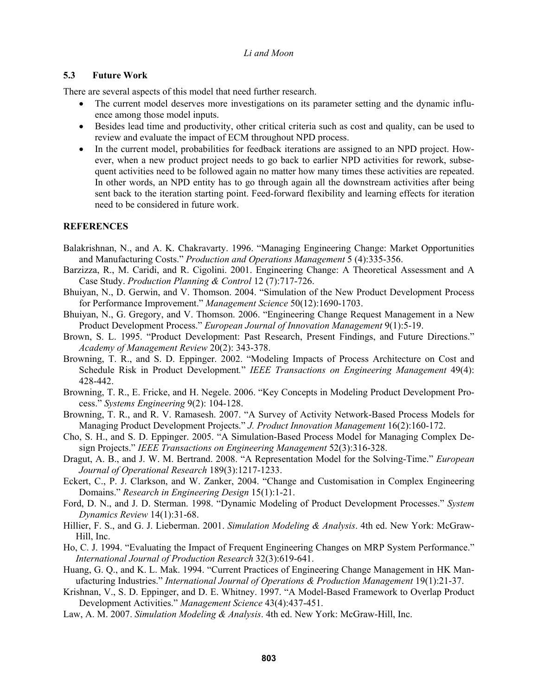### **5.3 Future Work**

There are several aspects of this model that need further research.

- The current model deserves more investigations on its parameter setting and the dynamic influence among those model inputs.
- Besides lead time and productivity, other critical criteria such as cost and quality, can be used to review and evaluate the impact of ECM throughout NPD process.
- In the current model, probabilities for feedback iterations are assigned to an NPD project. However, when a new product project needs to go back to earlier NPD activities for rework, subsequent activities need to be followed again no matter how many times these activities are repeated. In other words, an NPD entity has to go through again all the downstream activities after being sent back to the iteration starting point. Feed-forward flexibility and learning effects for iteration need to be considered in future work.

### **REFERENCES**

- Balakrishnan, N., and A. K. Chakravarty. 1996. "Managing Engineering Change: Market Opportunities and Manufacturing Costs." *Production and Operations Management* 5 (4):335-356.
- Barzizza, R., M. Caridi, and R. Cigolini. 2001. Engineering Change: A Theoretical Assessment and A Case Study. *Production Planning & Control* 12 (7):717-726.
- Bhuiyan, N., D. Gerwin, and V. Thomson. 2004. "Simulation of the New Product Development Process for Performance Improvement." *Management Science* 50(12):1690-1703.
- Bhuiyan, N., G. Gregory, and V. Thomson. 2006. "Engineering Change Request Management in a New Product Development Process." *European Journal of Innovation Management* 9(1):5-19.
- Brown, S. L. 1995. "Product Development: Past Research, Present Findings, and Future Directions." *Academy of Management Review* 20(2): 343-378.
- Browning, T. R., and S. D. Eppinger. 2002. "Modeling Impacts of Process Architecture on Cost and Schedule Risk in Product Development*.*" *IEEE Transactions on Engineering Management* 49(4): 428-442.
- Browning, T. R., E. Fricke, and H. Negele. 2006. "Key Concepts in Modeling Product Development Process." *Systems Engineering* 9(2): 104-128.
- Browning, T. R., and R. V. Ramasesh. 2007. "A Survey of Activity Network-Based Process Models for Managing Product Development Projects." *J. Product Innovation Management* 16(2):160-172.
- Cho, S. H., and S. D. Eppinger. 2005. "A Simulation-Based Process Model for Managing Complex Design Projects." *IEEE Transactions on Engineering Management* 52(3):316-328.
- Dragut, A. B., and J. W. M. Bertrand. 2008. "A Representation Model for the Solving-Time." *European Journal of Operational Research* 189(3):1217-1233.
- Eckert, C., P. J. Clarkson, and W. Zanker, 2004. "Change and Customisation in Complex Engineering Domains." *Research in Engineering Design* 15(1):1-21.
- Ford, D. N., and J. D. Sterman. 1998. "Dynamic Modeling of Product Development Processes." *System Dynamics Review* 14(1):31-68.
- Hillier, F. S., and G. J. Lieberman. 2001. *Simulation Modeling & Analysis*. 4th ed. New York: McGraw-Hill, Inc.
- Ho, C. J. 1994. "Evaluating the Impact of Frequent Engineering Changes on MRP System Performance." *International Journal of Production Research* 32(3):619-641.
- Huang, G. Q., and K. L. Mak. 1994. "Current Practices of Engineering Change Management in HK Manufacturing Industries." *International Journal of Operations & Production Management* 19(1):21-37.
- Krishnan, V., S. D. Eppinger, and D. E. Whitney. 1997. "A Model-Based Framework to Overlap Product Development Activities." *Management Science* 43(4):437-451.
- Law, A. M. 2007. *Simulation Modeling & Analysis*. 4th ed. New York: McGraw-Hill, Inc.